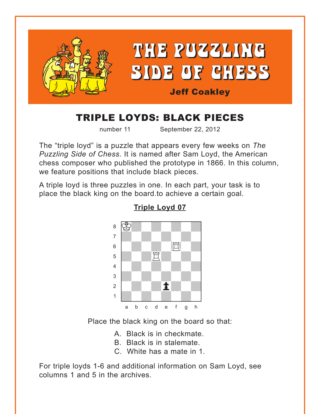<span id="page-0-0"></span>

# TRIPLE LOYDS: BLACK PIECES

number 11 September 22, 2012

The "triple loyd" is a puzzle that appears every few weeks on *The Puzzling Side of Chess*. It is named after Sam Loyd, the American chess composer who published the prototype in 1866. In this column, we feature positions that include black pieces.

A triple loyd is three puzzles in one. In each part, your task is to place the black king on the board.to achieve a certain goal.



**[Triple Loyd 07](#page-3-0)**

Place the black king on the board so that:

A. Black is in checkmate.

- B. Black is in stalemate.
- C. White has a mate in 1.

For triple loyds 1-6 and additional information on Sam Loyd, see columns 1 and 5 in the archives.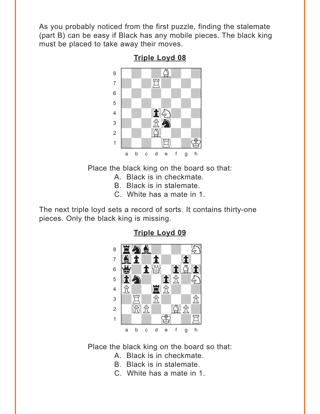<span id="page-1-0"></span>As you probably noticed from the first puzzle, finding the stalemate (part B) can be easy if Black has any mobile pieces. The black king must be placed to take away their moves.

**Triple Loyd 08** 



Place the black king on the board so that:

- A. Black is in checkmate.
- B. Black is in stalemate.
- C. White has a mate in 1.

The next triple loyd sets a record of sorts. It contains thirty-one pieces. Only the black king is missing.

### **Triple Loyd 09**



Place the black king on the board so that:

- A. Black is in checkmate.
- B. Black is in stalemate.
- C. White has a mate in 1.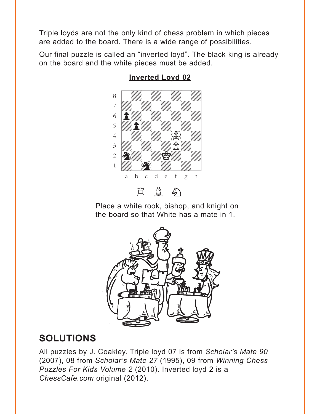<span id="page-2-0"></span>Triple loyds are not the only kind of chess problem in which pieces are added to the board. There is a wide range of possibilities.

Our final puzzle is called an "inverted loyd". The black king is already on the board and the white pieces must be added.



#### **[Inverted Loyd 02](#page-4-0)**

Place a white rook, bishop, and knight on the board so that White has a mate in 1.



## **SOLUTIONS**

All puzzles by J. Coakley. Triple loyd 07 is from *Scholar's Mate 90* (2007), 08 from *Scholar's Mate 27* (1995), 09 from *Winning Chess Puzzles For Kids Volume 2* (2010). Inverted loyd 2 is a *ChessCafe.com* original (2012).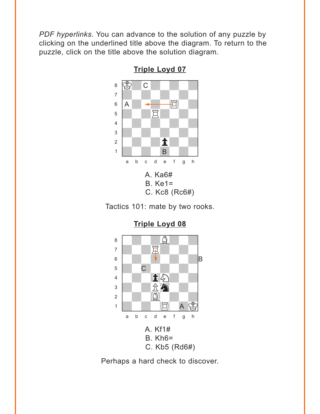<span id="page-3-0"></span>*PDF hyperlinks*. You can advance to the solution of any puzzle by clicking on the underlined title above the diagram. To return to the puzzle, click on the title above the solution diagram.



**[Triple Loyd 07](#page-0-0)**





**[Triple Loyd 08](#page-1-0)**

Perhaps a hard check to discover.